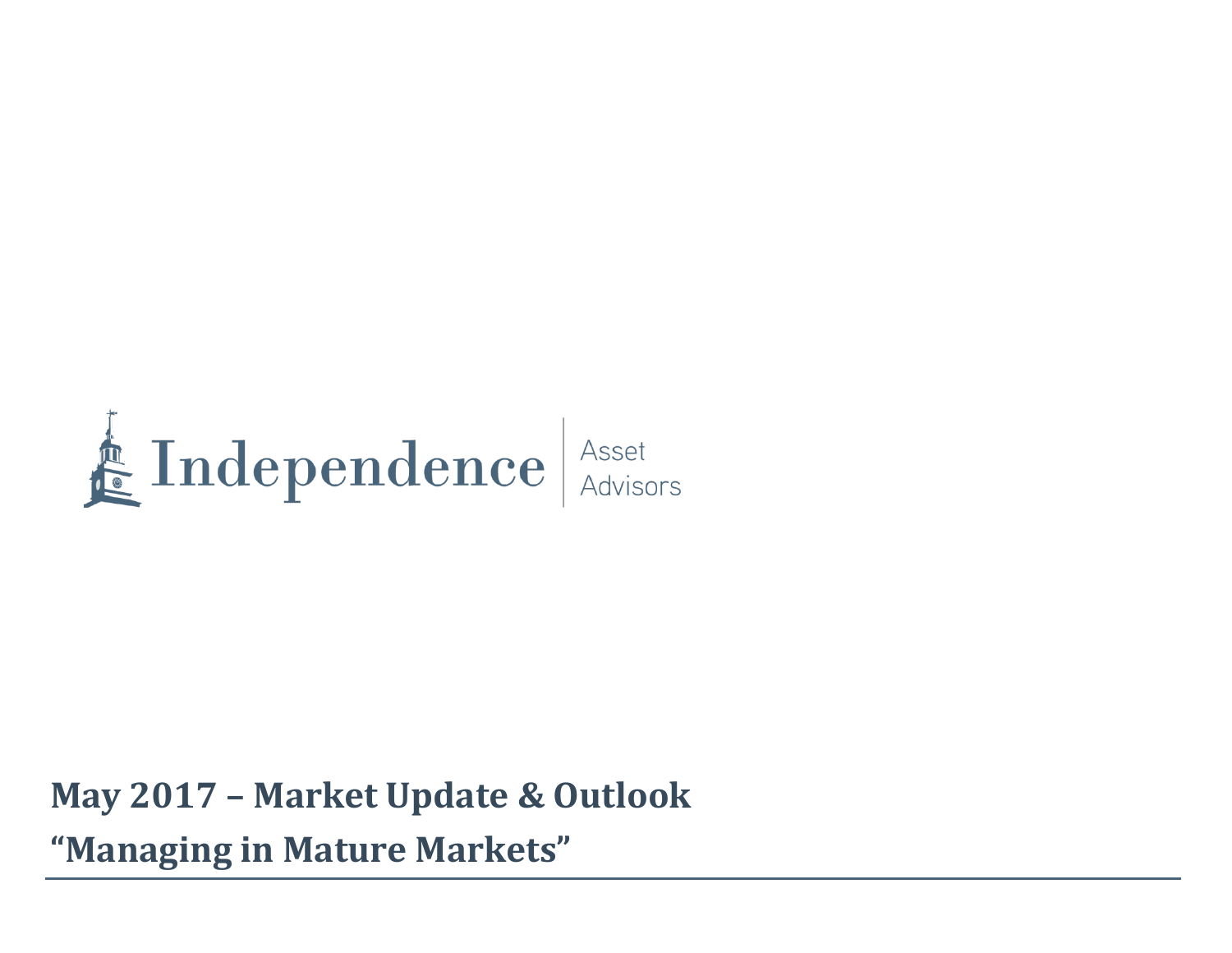

**May 2017 – Market Update & Outlook "Managing in Mature Markets"**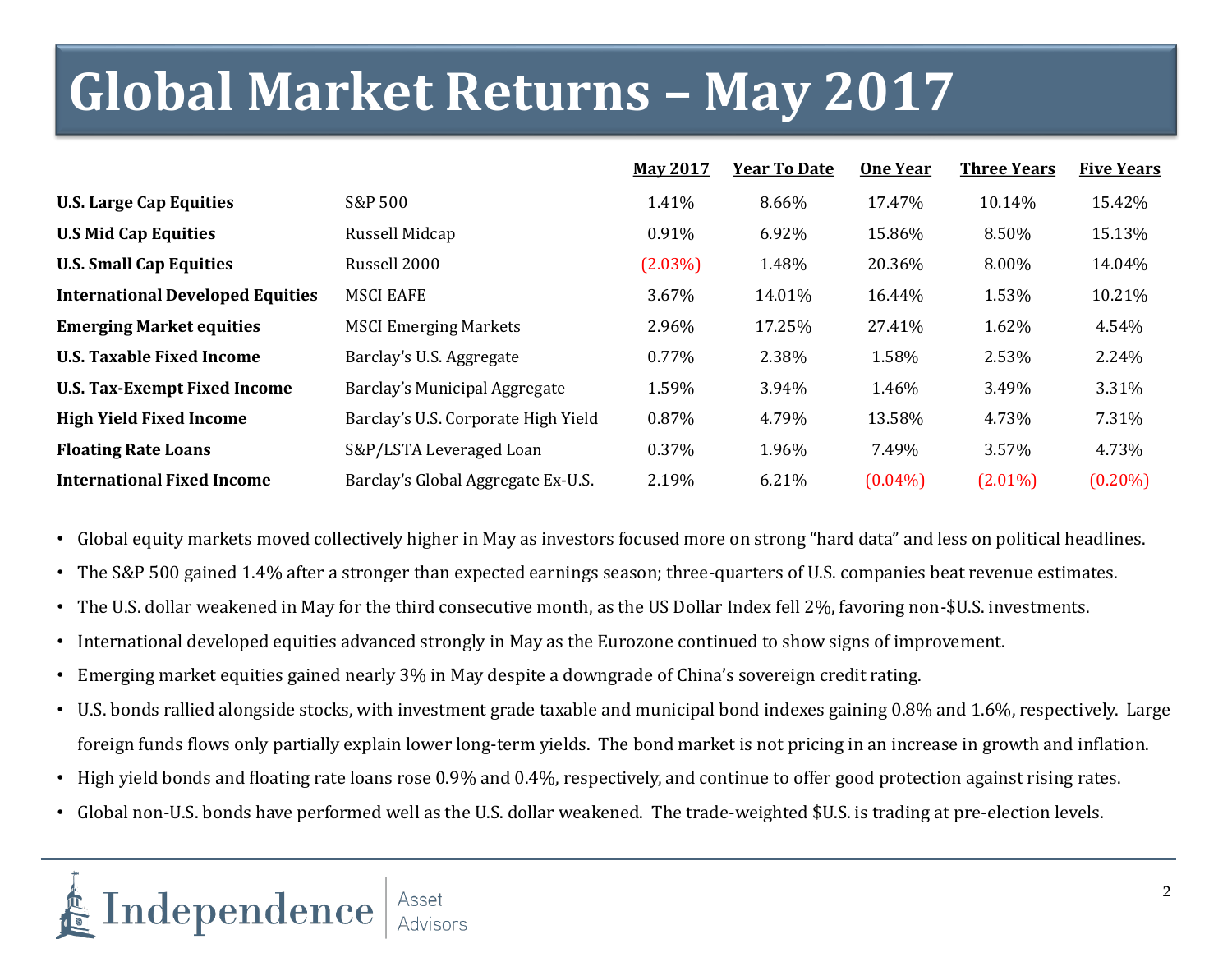# **Global Market Returns – May 2017**

|                                         |                                     | <b>May 2017</b> | <b>Year To Date</b> | <b>One Year</b> | <b>Three Years</b> | <b>Five Years</b> |
|-----------------------------------------|-------------------------------------|-----------------|---------------------|-----------------|--------------------|-------------------|
| <b>U.S. Large Cap Equities</b>          | S&P 500                             | 1.41%           | 8.66%               | 17.47%          | 10.14%             | 15.42%            |
| <b>U.S Mid Cap Equities</b>             | Russell Midcap                      | 0.91%           | 6.92%               | 15.86%          | 8.50%              | 15.13%            |
| <b>U.S. Small Cap Equities</b>          | Russell 2000                        | $(2.03\%)$      | 1.48%               | 20.36%          | 8.00%              | 14.04%            |
| <b>International Developed Equities</b> | <b>MSCI EAFE</b>                    | 3.67%           | 14.01%              | 16.44%          | 1.53%              | 10.21%            |
| <b>Emerging Market equities</b>         | <b>MSCI Emerging Markets</b>        | 2.96%           | 17.25%              | 27.41%          | 1.62%              | 4.54%             |
| <b>U.S. Taxable Fixed Income</b>        | Barclay's U.S. Aggregate            | $0.77\%$        | 2.38%               | 1.58%           | 2.53%              | 2.24%             |
| <b>U.S. Tax-Exempt Fixed Income</b>     | Barclay's Municipal Aggregate       | 1.59%           | 3.94%               | 1.46%           | 3.49%              | 3.31%             |
| <b>High Yield Fixed Income</b>          | Barclay's U.S. Corporate High Yield | 0.87%           | 4.79%               | 13.58%          | 4.73%              | 7.31%             |
| <b>Floating Rate Loans</b>              | S&P/LSTA Leveraged Loan             | 0.37%           | 1.96%               | 7.49%           | 3.57%              | 4.73%             |
| <b>International Fixed Income</b>       | Barclay's Global Aggregate Ex-U.S.  | 2.19%           | 6.21%               | $(0.04\%)$      | $(2.01\%)$         | $(0.20\%)$        |

- Global equity markets moved collectively higher in May as investors focused more on strong "hard data" and less on political headlines.
- The S&P 500 gained 1.4% after a stronger than expected earnings season; three-quarters of U.S. companies beat revenue estimates.
- The U.S. dollar weakened in May for the third consecutive month, as the US Dollar Index fell 2%, favoring non-\$U.S. investments.
- International developed equities advanced strongly in May as the Eurozone continued to show signs of improvement.
- Emerging market equities gained nearly 3% in May despite a downgrade of China's sovereign credit rating.
- U.S. bonds rallied alongside stocks, with investment grade taxable and municipal bond indexes gaining 0.8% and 1.6%, respectively. Large foreign funds flows only partially explain lower long-term yields. The bond market is not pricing in an increase in growth and inflation.
- High yield bonds and floating rate loans rose 0.9% and 0.4%, respectively, and continue to offer good protection against rising rates.
- Global non-U.S. bonds have performed well as the U.S. dollar weakened. The trade-weighted \$U.S. is trading at pre-election levels.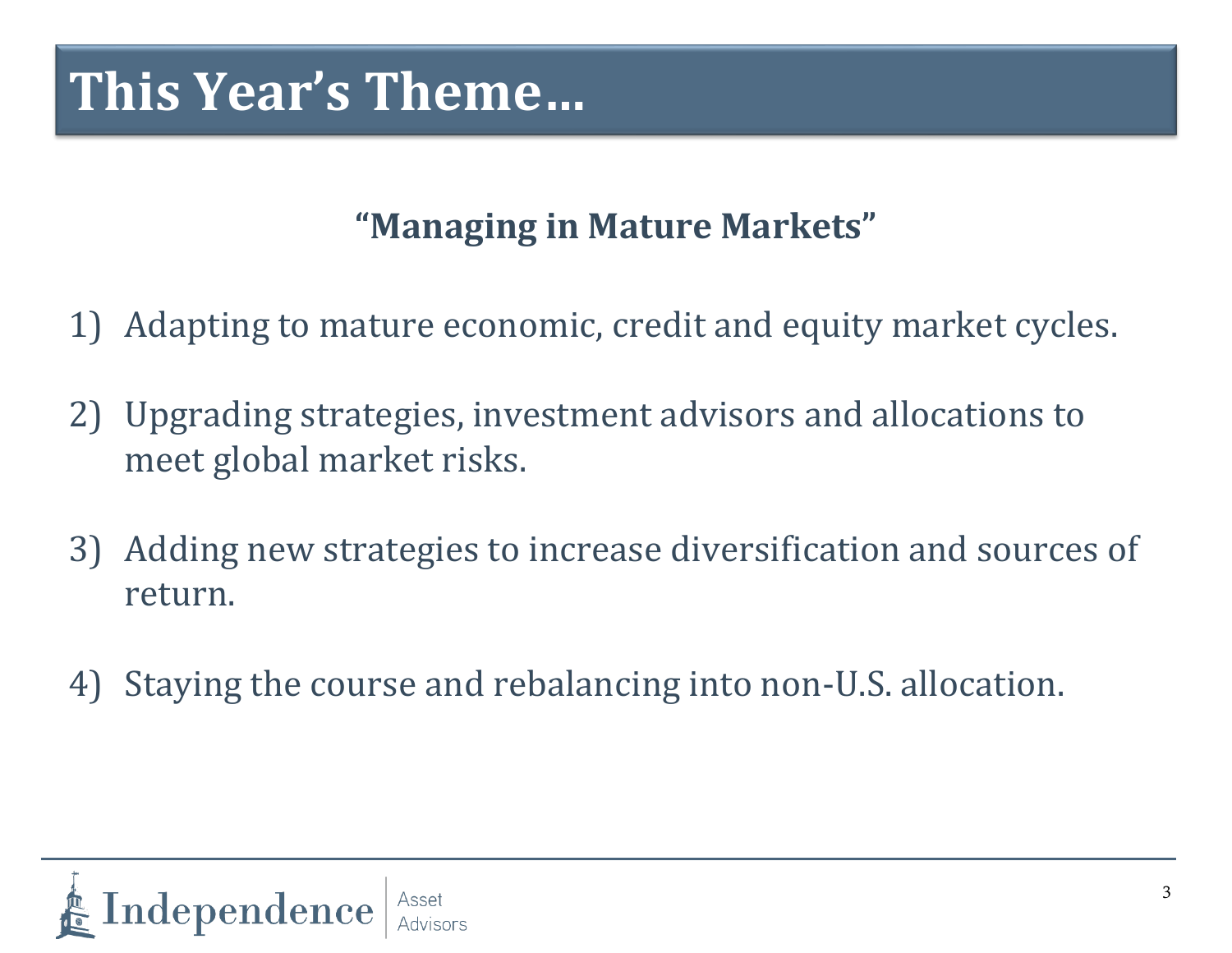#### **"Managing in Mature Markets"**

- 1) Adapting to mature economic, credit and equity market cycles.
- 2) Upgrading strategies, investment advisors and allocations to meet global market risks.
- 3) Adding new strategies to increase diversification and sources of return.
- 4) Staying the course and rebalancing into non-U.S. allocation.

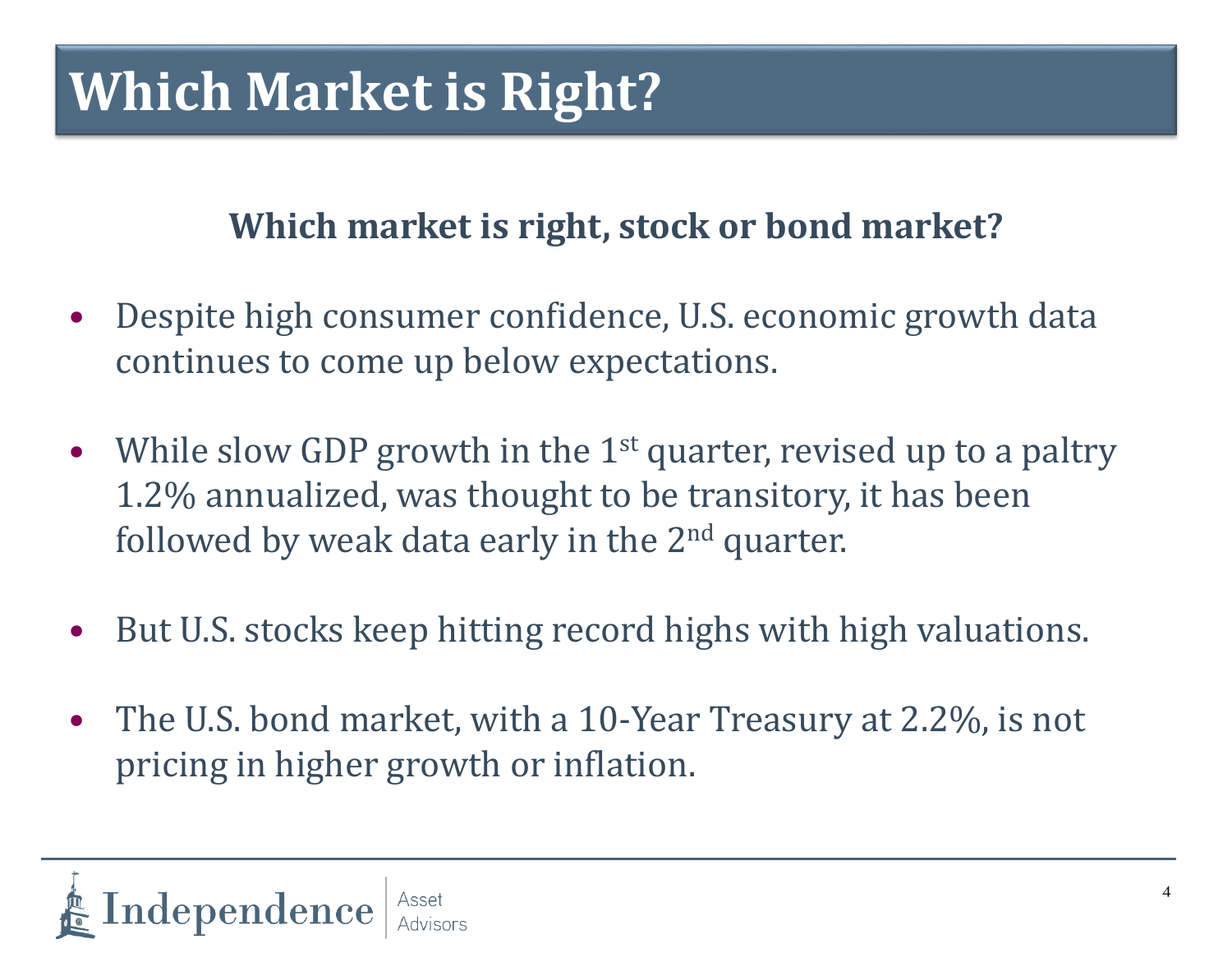## **Which Market is Right?**

#### **Which market is right, stock or bond market?**

- Despite high consumer confidence, U.S. economic growth data continues to come up below expectations.
- While slow GDP growth in the  $1<sup>st</sup>$  quarter, revised up to a paltry 1.2% annualized, was thought to be transitory, it has been followed by weak data early in the  $2<sup>nd</sup>$  quarter.
- But U.S. stocks keep hitting record highs with high valuations.
- The U.S. bond market, with a 10-Year Treasury at 2.2%, is not pricing in higher growth or inflation.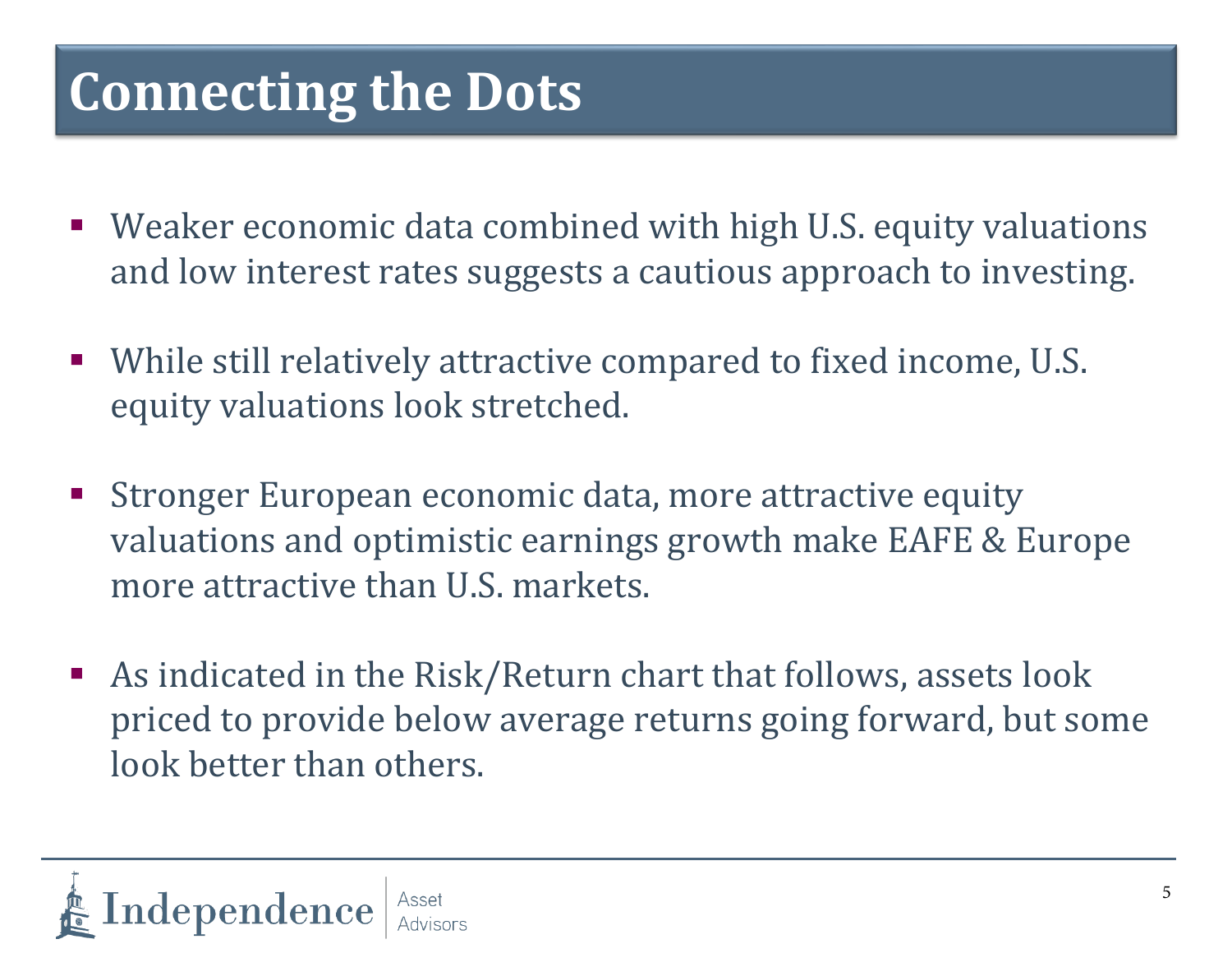## **Connecting the Dots**

- Weaker economic data combined with high U.S. equity valuations and low interest rates suggests a cautious approach to investing.
- While still relatively attractive compared to fixed income, U.S. equity valuations look stretched.
- **Stronger European economic data, more attractive equity** valuations and optimistic earnings growth make EAFE & Europe more attractive than U.S. markets.
- As indicated in the Risk/Return chart that follows, assets look priced to provide below average returns going forward, but some look better than others.